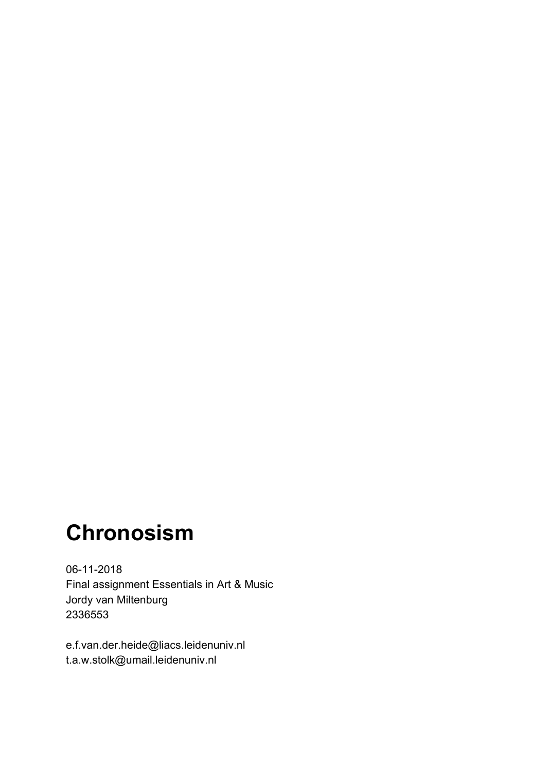# **Chronosism**

06-11-2018 Final assignment Essentials in Art & Music Jordy van Miltenburg 2336553

e.f.van.der.heide@liacs.leidenuniv.nl t.a.w.stolk@umail.leidenuniv.nl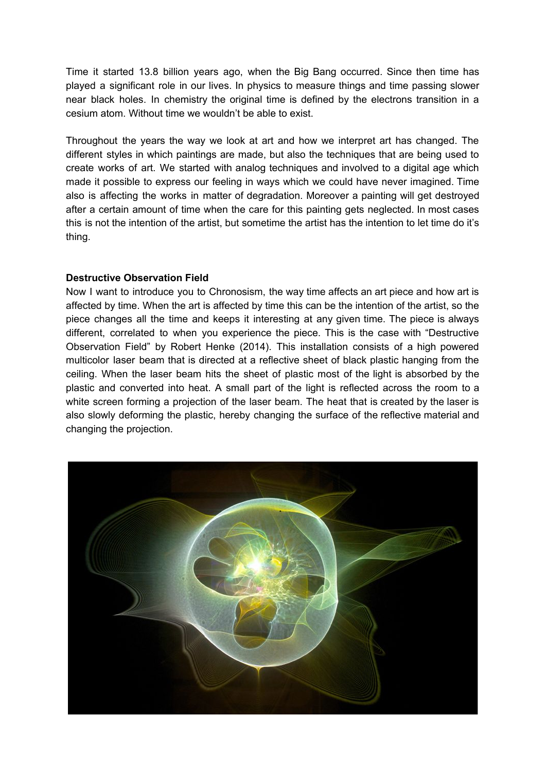Time it started 13.8 billion years ago, when the Big Bang occurred. Since then time has played a significant role in our lives. In physics to measure things and time passing slower near black holes. In chemistry the original time is defined by the electrons transition in a cesium atom. Without time we wouldn't be able to exist.

Throughout the years the way we look at art and how we interpret art has changed. The different styles in which paintings are made, but also the techniques that are being used to create works of art. We started with analog techniques and involved to a digital age which made it possible to express our feeling in ways which we could have never imagined. Time also is affecting the works in matter of degradation. Moreover a painting will get destroyed after a certain amount of time when the care for this painting gets neglected. In most cases this is not the intention of the artist, but sometime the artist has the intention to let time do it's thing.

## **Destructive Observation Field**

Now I want to introduce you to Chronosism, the way time affects an art piece and how art is affected by time. When the art is affected by time this can be the intention of the artist, so the piece changes all the time and keeps it interesting at any given time. The piece is always different, correlated to when you experience the piece. This is the case with "Destructive Observation Field" by Robert Henke (2014). This installation consists of a high powered multicolor laser beam that is directed at a reflective sheet of black plastic hanging from the ceiling. When the laser beam hits the sheet of plastic most of the light is absorbed by the plastic and converted into heat. A small part of the light is reflected across the room to a white screen forming a projection of the laser beam. The heat that is created by the laser is also slowly deforming the plastic, hereby changing the surface of the reflective material and changing the projection.

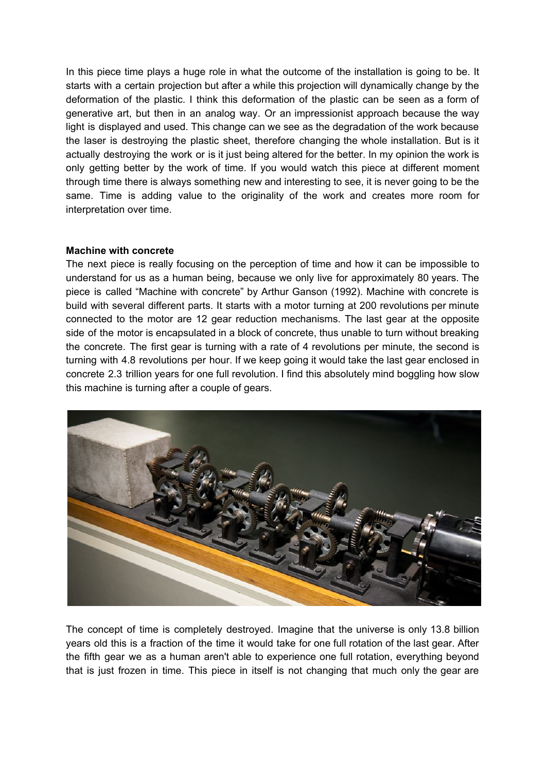In this piece time plays a huge role in what the outcome of the installation is going to be. It starts with a certain projection but after a while this projection will dynamically change by the deformation of the plastic. I think this deformation of the plastic can be seen as a form of generative art, but then in an analog way. Or an impressionist approach because the way light is displayed and used. This change can we see as the degradation of the work because the laser is destroying the plastic sheet, therefore changing the whole installation. But is it actually destroying the work or is it just being altered for the better. In my opinion the work is only getting better by the work of time. If you would watch this piece at different moment through time there is always something new and interesting to see, it is never going to be the same. Time is adding value to the originality of the work and creates more room for interpretation over time.

#### **Machine with concrete**

The next piece is really focusing on the perception of time and how it can be impossible to understand for us as a human being, because we only live for approximately 80 years. The piece is called "Machine with concrete" by Arthur Ganson (1992). Machine with concrete is build with several different parts. It starts with a motor turning at 200 revolutions per minute connected to the motor are 12 gear reduction mechanisms. The last gear at the opposite side of the motor is encapsulated in a block of concrete, thus unable to turn without breaking the concrete. The first gear is turning with a rate of 4 revolutions per minute, the second is turning with 4.8 revolutions per hour. If we keep going it would take the last gear enclosed in concrete 2.3 trillion years for one full revolution. I find this absolutely mind boggling how slow this machine is turning after a couple of gears.



The concept of time is completely destroyed. Imagine that the universe is only 13.8 billion years old this is a fraction of the time it would take for one full rotation of the last gear. After the fifth gear we as a human aren't able to experience one full rotation, everything beyond that is just frozen in time. This piece in itself is not changing that much only the gear are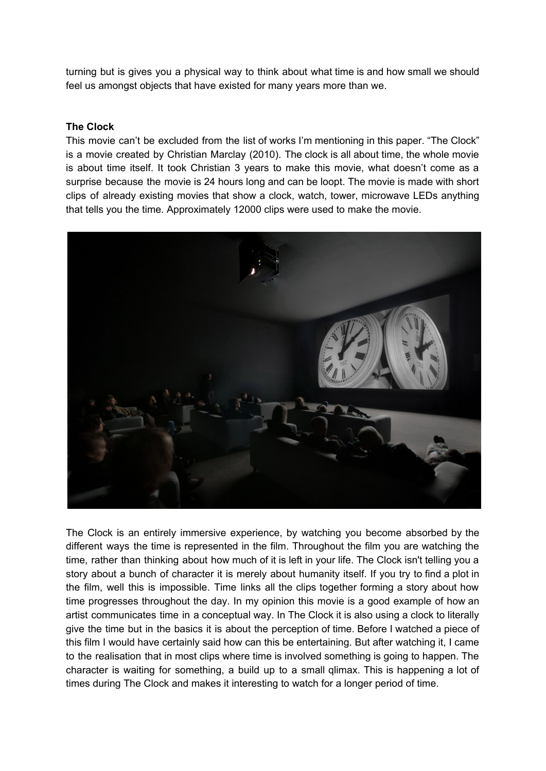turning but is gives you a physical way to think about what time is and how small we should feel us amongst objects that have existed for many years more than we.

## **The Clock**

This movie can't be excluded from the list of works I'm mentioning in this paper. "The Clock" is a movie created by Christian Marclay (2010). The clock is all about time, the whole movie is about time itself. It took Christian 3 years to make this movie, what doesn't come as a surprise because the movie is 24 hours long and can be loopt. The movie is made with short clips of already existing movies that show a clock, watch, tower, microwave LEDs anything that tells you the time. Approximately 12000 clips were used to make the movie.



The Clock is an entirely immersive experience, by watching you become absorbed by the different ways the time is represented in the film. Throughout the film you are watching the time, rather than thinking about how much of it is left in your life. The Clock isn't telling you a story about a bunch of character it is merely about humanity itself. If you try to find a plot in the film, well this is impossible. Time links all the clips together forming a story about how time progresses throughout the day. In my opinion this movie is a good example of how an artist communicates time in a conceptual way. In The Clock it is also using a clock to literally give the time but in the basics it is about the perception of time. Before I watched a piece of this film I would have certainly said how can this be entertaining. But after watching it, I came to the realisation that in most clips where time is involved something is going to happen. The character is waiting for something, a build up to a small qlimax. This is happening a lot of times during The Clock and makes it interesting to watch for a longer period of time.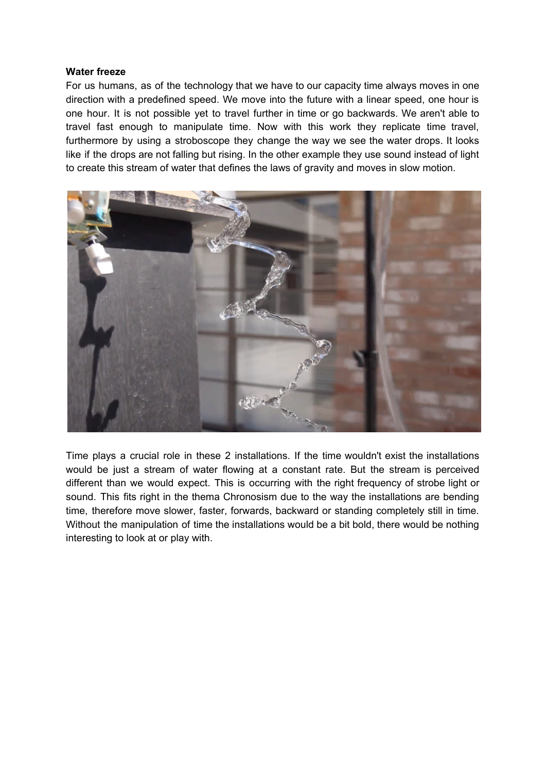#### **Water freeze**

For us humans, as of the technology that we have to our capacity time always moves in one direction with a predefined speed. We move into the future with a linear speed, one hour is one hour. It is not possible yet to travel further in time or go backwards. We aren't able to travel fast enough to manipulate time. Now with this work they replicate time travel, furthermore by using a stroboscope they change the way we see the water drops. It looks like if the drops are not falling but rising. In the other example they use sound instead of light to create this stream of water that defines the laws of gravity and moves in slow motion.



Time plays a crucial role in these 2 installations. If the time wouldn't exist the installations would be just a stream of water flowing at a constant rate. But the stream is perceived different than we would expect. This is occurring with the right frequency of strobe light or sound. This fits right in the thema Chronosism due to the way the installations are bending time, therefore move slower, faster, forwards, backward or standing completely still in time. Without the manipulation of time the installations would be a bit bold, there would be nothing interesting to look at or play with.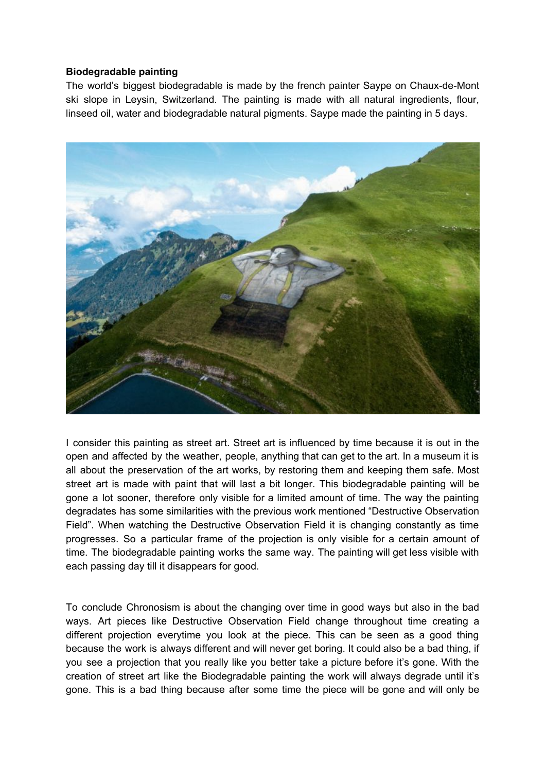## **Biodegradable painting**

The world's biggest biodegradable is made by the french painter Saype on Chaux-de-Mont ski slope in Leysin, Switzerland. The painting is made with all natural ingredients, flour, linseed oil, water and biodegradable natural pigments. Saype made the painting in 5 days.



I consider this painting as street art. Street art is influenced by time because it is out in the open and affected by the weather, people, anything that can get to the art. In a museum it is all about the preservation of the art works, by restoring them and keeping them safe. Most street art is made with paint that will last a bit longer. This biodegradable painting will be gone a lot sooner, therefore only visible for a limited amount of time. The way the painting degradates has some similarities with the previous work mentioned "Destructive Observation Field". When watching the Destructive Observation Field it is changing constantly as time progresses. So a particular frame of the projection is only visible for a certain amount of time. The biodegradable painting works the same way. The painting will get less visible with each passing day till it disappears for good.

To conclude Chronosism is about the changing over time in good ways but also in the bad ways. Art pieces like Destructive Observation Field change throughout time creating a different projection everytime you look at the piece. This can be seen as a good thing because the work is always different and will never get boring. It could also be a bad thing, if you see a projection that you really like you better take a picture before it's gone. With the creation of street art like the Biodegradable painting the work will always degrade until it's gone. This is a bad thing because after some time the piece will be gone and will only be